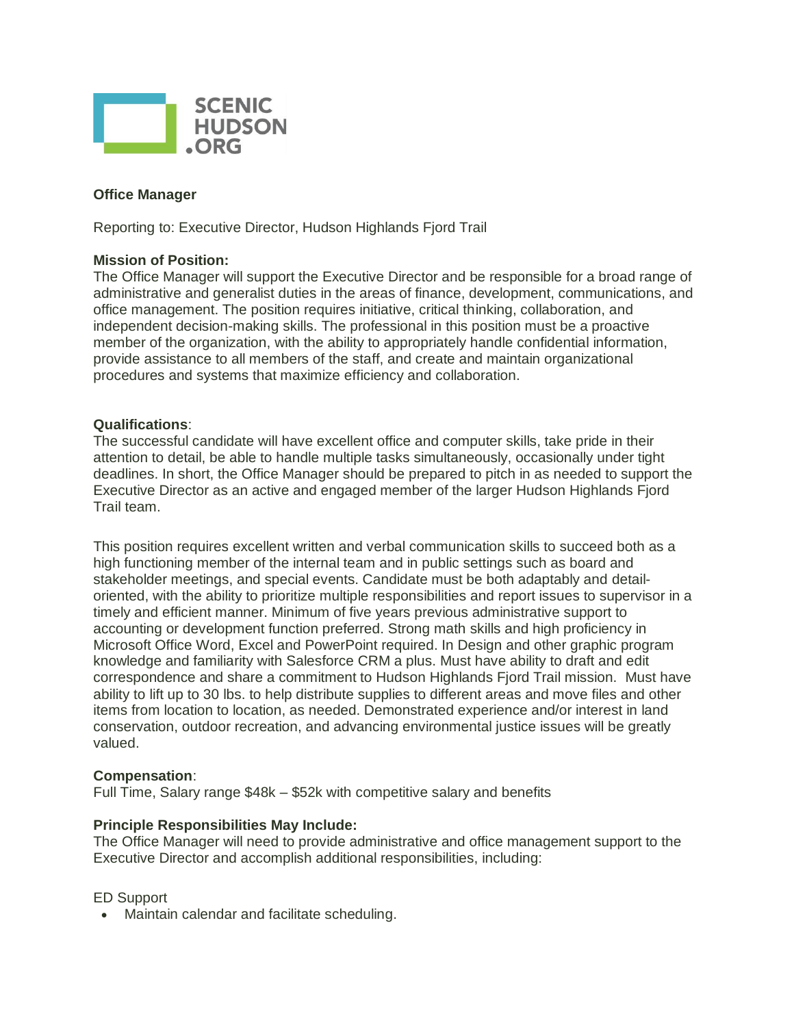

## **Office Manager**

Reporting to: Executive Director, Hudson Highlands Fiord Trail

## **Mission of Position:**

The Office Manager will support the Executive Director and be responsible for a broad range of administrative and generalist duties in the areas of finance, development, communications, and office management. The position requires initiative, critical thinking, collaboration, and independent decision-making skills. The professional in this position must be a proactive member of the organization, with the ability to appropriately handle confidential information, provide assistance to all members of the staff, and create and maintain organizational procedures and systems that maximize efficiency and collaboration.

## **Qualifications**:

The successful candidate will have excellent office and computer skills, take pride in their attention to detail, be able to handle multiple tasks simultaneously, occasionally under tight deadlines. In short, the Office Manager should be prepared to pitch in as needed to support the Executive Director as an active and engaged member of the larger Hudson Highlands Fjord Trail team.

This position requires excellent written and verbal communication skills to succeed both as a high functioning member of the internal team and in public settings such as board and stakeholder meetings, and special events. Candidate must be both adaptably and detailoriented, with the ability to prioritize multiple responsibilities and report issues to supervisor in a timely and efficient manner. Minimum of five years previous administrative support to accounting or development function preferred. Strong math skills and high proficiency in Microsoft Office Word, Excel and PowerPoint required. In Design and other graphic program knowledge and familiarity with Salesforce CRM a plus. Must have ability to draft and edit correspondence and share a commitment to Hudson Highlands Fjord Trail mission. Must have ability to lift up to 30 lbs. to help distribute supplies to different areas and move files and other items from location to location, as needed. Demonstrated experience and/or interest in land conservation, outdoor recreation, and advancing environmental justice issues will be greatly valued.

#### **Compensation**:

Full Time, Salary range \$48k – \$52k with competitive salary and benefits

#### **Principle Responsibilities May Include:**

The Office Manager will need to provide administrative and office management support to the Executive Director and accomplish additional responsibilities, including:

#### ED Support

Maintain calendar and facilitate scheduling.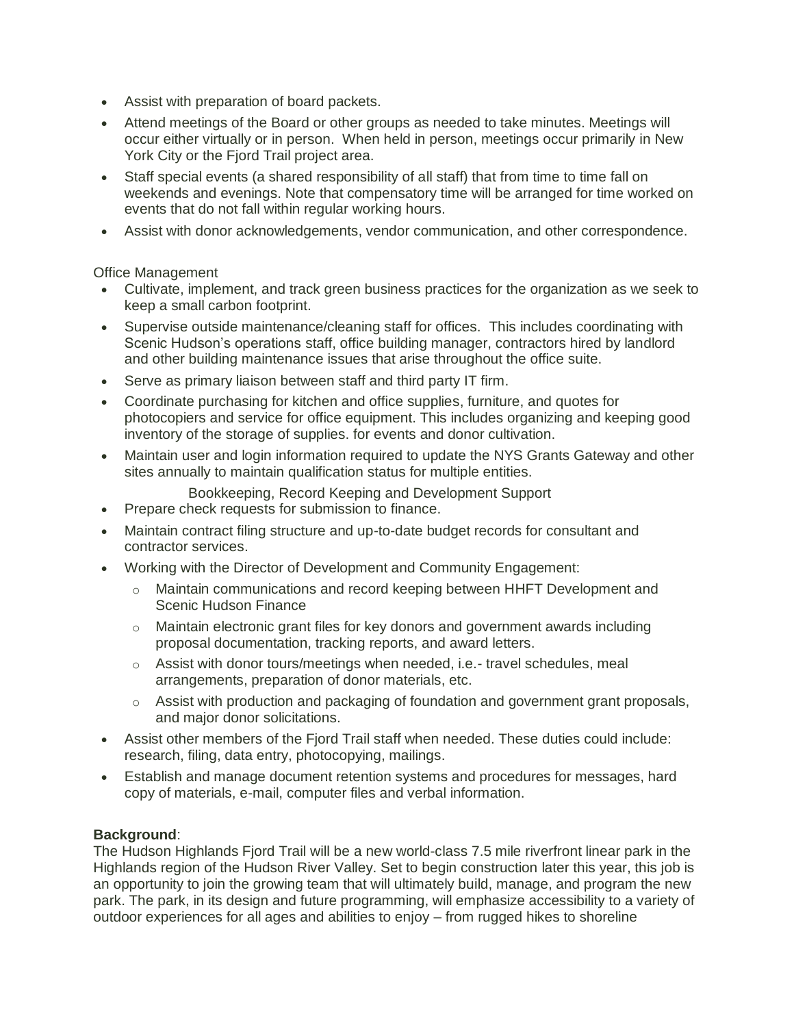- Assist with preparation of board packets.
- Attend meetings of the Board or other groups as needed to take minutes. Meetings will occur either virtually or in person. When held in person, meetings occur primarily in New York City or the Fjord Trail project area.
- Staff special events (a shared responsibility of all staff) that from time to time fall on weekends and evenings. Note that compensatory time will be arranged for time worked on events that do not fall within regular working hours.
- Assist with donor acknowledgements, vendor communication, and other correspondence.

Office Management

- Cultivate, implement, and track green business practices for the organization as we seek to keep a small carbon footprint.
- Supervise outside maintenance/cleaning staff for offices. This includes coordinating with Scenic Hudson's operations staff, office building manager, contractors hired by landlord and other building maintenance issues that arise throughout the office suite.
- Serve as primary liaison between staff and third party IT firm.
- Coordinate purchasing for kitchen and office supplies, furniture, and quotes for photocopiers and service for office equipment. This includes organizing and keeping good inventory of the storage of supplies. for events and donor cultivation.
- Maintain user and login information required to update the NYS Grants Gateway and other sites annually to maintain qualification status for multiple entities.
	- Bookkeeping, Record Keeping and Development Support
- Prepare check requests for submission to finance.
- Maintain contract filing structure and up-to-date budget records for consultant and contractor services.
- Working with the Director of Development and Community Engagement:
	- o Maintain communications and record keeping between HHFT Development and Scenic Hudson Finance
	- o Maintain electronic grant files for key donors and government awards including proposal documentation, tracking reports, and award letters.
	- $\circ$  Assist with donor tours/meetings when needed, i.e.- travel schedules, meal arrangements, preparation of donor materials, etc.
	- $\circ$  Assist with production and packaging of foundation and government grant proposals, and major donor solicitations.
- Assist other members of the Fjord Trail staff when needed. These duties could include: research, filing, data entry, photocopying, mailings.
- Establish and manage document retention systems and procedures for messages, hard copy of materials, e-mail, computer files and verbal information.

# **Background**:

The Hudson Highlands Fjord Trail will be a new world-class 7.5 mile riverfront linear park in the Highlands region of the Hudson River Valley. Set to begin construction later this year, this job is an opportunity to join the growing team that will ultimately build, manage, and program the new park. The park, in its design and future programming, will emphasize accessibility to a variety of outdoor experiences for all ages and abilities to enjoy – from rugged hikes to shoreline